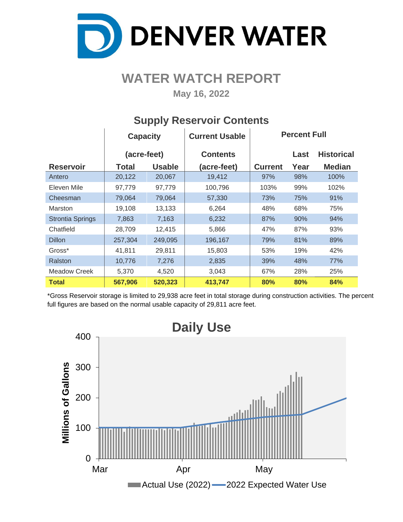

# **WATER WATCH REPORT**

**May 16, 2022**

|                         | <b>Capacity</b> |               | <b>Current Usable</b> | <b>Percent Full</b> |      |                   |  |  |  |  |  |
|-------------------------|-----------------|---------------|-----------------------|---------------------|------|-------------------|--|--|--|--|--|
|                         | (acre-feet)     |               | <b>Contents</b>       |                     | Last | <b>Historical</b> |  |  |  |  |  |
| <b>Reservoir</b>        | Total           | <b>Usable</b> | (acre-feet)           | <b>Current</b>      | Year | <b>Median</b>     |  |  |  |  |  |
| Antero                  | 20,122          | 20,067        | 19,412                | 97%                 | 98%  | 100%              |  |  |  |  |  |
| Eleven Mile             | 97,779          | 97,779        | 100,796               | 103%                | 99%  | 102%              |  |  |  |  |  |
| Cheesman                | 79,064          | 79,064        | 57,330                | 73%                 | 75%  | 91%               |  |  |  |  |  |
| Marston                 | 19,108          | 13,133        | 6,264                 | 48%                 | 68%  | 75%               |  |  |  |  |  |
| <b>Strontia Springs</b> | 7,863           | 7,163         | 6,232                 | 87%                 | 90%  | 94%               |  |  |  |  |  |
| Chatfield               | 28,709          | 12,415        | 5,866                 | 47%                 | 87%  | 93%               |  |  |  |  |  |
| <b>Dillon</b>           | 257,304         | 249,095       | 196,167               | 79%                 | 81%  | 89%               |  |  |  |  |  |
| Gross*                  | 41,811          | 29,811        | 15,803                | 53%                 | 19%  | 42%               |  |  |  |  |  |
| Ralston                 | 10,776          | 7,276         | 2,835                 | 39%                 | 48%  | 77%               |  |  |  |  |  |
| <b>Meadow Creek</b>     | 5,370           | 4,520         | 3,043                 | 67%                 | 28%  | 25%               |  |  |  |  |  |
| <b>Total</b>            | 567,906         | 520,323       | 413,747               | 80%                 | 80%  | 84%               |  |  |  |  |  |

#### **Supply Reservoir Contents**

\*Gross Reservoir storage is limited to 29,938 acre feet in total storage during construction activities. The percent full figures are based on the normal usable capacity of 29,811 acre feet.

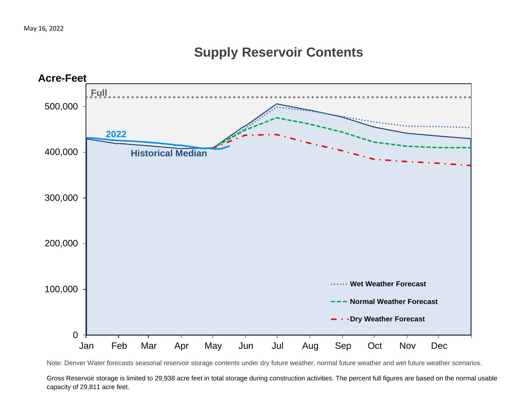## **Supply Reservoir Contents**



Note: Denver Water forecasts seasonal reservoir storage contents under dry future weather, normal future weather and wet future weather scenarios.

Gross Reservoir storage is limited to 29,938 acre feet in total storage during construction activities. The percent full figures are based on the normal usable capacity of 29,811 acre feet.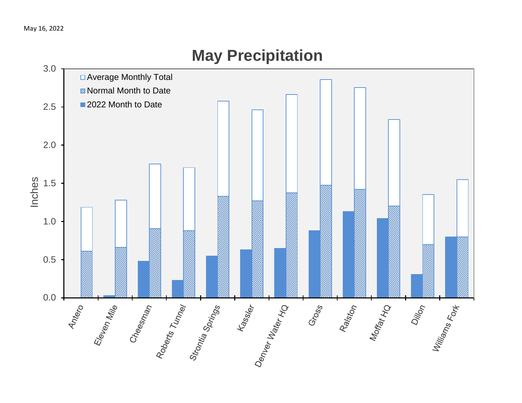

# **May Precipitation**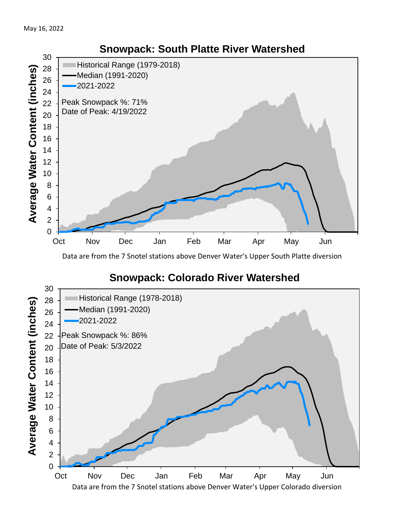

Data are from the 7 Snotel stations above Denver Water's Upper South Platte diversion

#### **Snowpack: Colorado River Watershed**

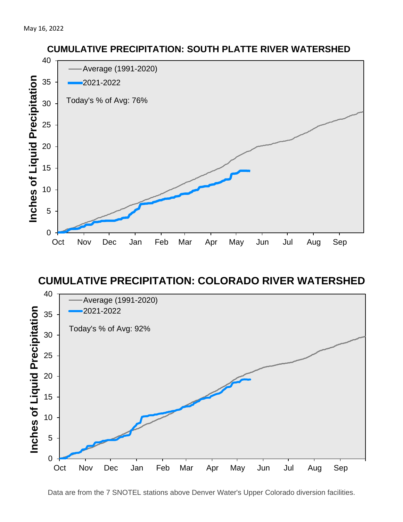

#### **CUMULATIVE PRECIPITATION: COLORADO RIVER WATERSHED**



**CUMULATIVE PRECIPITATION: SOUTH PLATTE RIVER WATERSHED**

Data are from the 7 SNOTEL stations above Denver Water's Upper Colorado diversion facilities.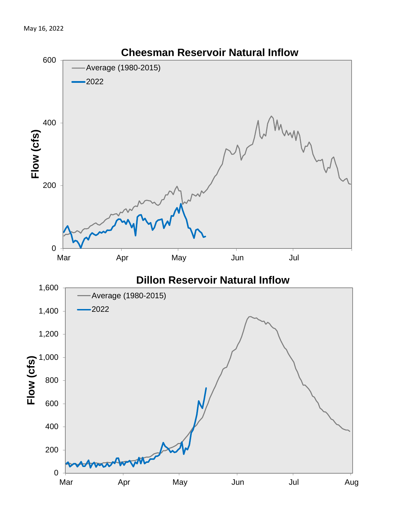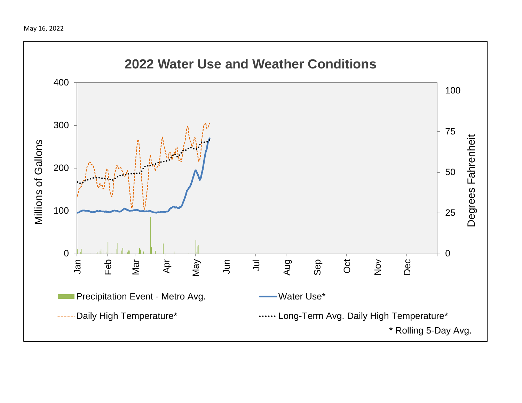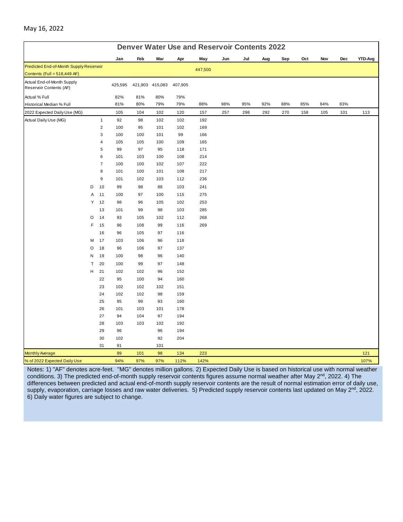| <b>Denver Water Use and Reservoir Contents 2022</b>   |         |                |         |     |                 |         |         |     |     |     |     |     |     |     |         |
|-------------------------------------------------------|---------|----------------|---------|-----|-----------------|---------|---------|-----|-----|-----|-----|-----|-----|-----|---------|
|                                                       |         |                | Jan     | Feb | Mar             | Apr     | May     | Jun | Jul | Aug | Sep | Oct | Nov | Dec | YTD-Avg |
| Predicted End-of-Month Supply Reservoir               |         |                |         |     |                 |         | 447,500 |     |     |     |     |     |     |     |         |
| Contents (Full = $518,449$ AF)                        |         |                |         |     |                 |         |         |     |     |     |     |     |     |     |         |
| Actual End-of-Month Supply<br>Reservoir Contents (AF) |         |                | 425,595 |     | 421,903 415,083 | 407,905 |         |     |     |     |     |     |     |     |         |
| Actual % Full                                         |         |                | 82%     | 81% | 80%             | 79%     |         |     |     |     |     |     |     |     |         |
| Historical Median % Full                              |         |                | 81%     | 80% | 79%             | 79%     | 88%     | 98% | 95% | 92% | 88% | 85% | 84% | 83% |         |
| 2022 Expected Daily Use (MG)                          |         |                | 105     | 104 | 102             | 120     | 157     | 257 | 298 | 292 | 270 | 158 | 105 | 101 | 113     |
| Actual Daily Use (MG)                                 |         | $\mathbf{1}$   | 92      | 98  | 102             | 102     | 192     |     |     |     |     |     |     |     |         |
|                                                       |         | $\mathbf 2$    | 100     | 95  | 101             | 102     | 169     |     |     |     |     |     |     |     |         |
|                                                       |         | 3              | 100     | 100 | 101             | 99      | 166     |     |     |     |     |     |     |     |         |
|                                                       |         | 4              | 105     | 105 | 100             | 109     | 165     |     |     |     |     |     |     |     |         |
|                                                       |         | 5              | 99      | 97  | 95              | 118     | 171     |     |     |     |     |     |     |     |         |
|                                                       |         | 6              | 101     | 103 | 100             | 108     | 214     |     |     |     |     |     |     |     |         |
|                                                       |         | $\overline{7}$ | 100     | 100 | 102             | 107     | 222     |     |     |     |     |     |     |     |         |
|                                                       |         | 8              | 101     | 100 | 101             | 108     | 217     |     |     |     |     |     |     |     |         |
|                                                       |         | 9              | 101     | 102 | 103             | 112     | 236     |     |     |     |     |     |     |     |         |
|                                                       | D       | 10             | 99      | 98  | 88              | 103     | 241     |     |     |     |     |     |     |     |         |
|                                                       | A       | 11             | 100     | 97  | 100             | 115     | 275     |     |     |     |     |     |     |     |         |
|                                                       | Y       | 12             | 98      | 96  | 105             | 102     | 253     |     |     |     |     |     |     |     |         |
|                                                       |         | 13             | 101     | 99  | 98              | 103     | 285     |     |     |     |     |     |     |     |         |
|                                                       | $\circ$ | 14             | 93      | 105 | 102             | 112     | 268     |     |     |     |     |     |     |     |         |
|                                                       | F       | 15             | 96      | 108 | 99              | 116     | 269     |     |     |     |     |     |     |     |         |
|                                                       |         | 16             | 96      | 105 | 97              | 116     |         |     |     |     |     |     |     |     |         |
|                                                       | М       | 17             | 103     | 106 | 96              | 118     |         |     |     |     |     |     |     |     |         |
|                                                       | O       | 18             | 96      | 106 | 97              | 137     |         |     |     |     |     |     |     |     |         |
|                                                       | N       | 19             | 100     | 98  | 96              | 140     |         |     |     |     |     |     |     |     |         |
|                                                       | Τ       | 20             | 100     | 99  | 97              | 148     |         |     |     |     |     |     |     |     |         |
|                                                       | H       | 21             | 102     | 102 | 96              | 152     |         |     |     |     |     |     |     |     |         |
|                                                       |         | 22             | 95      | 100 | 94              | 160     |         |     |     |     |     |     |     |     |         |
|                                                       |         | 23             | 102     | 102 | 102             | 151     |         |     |     |     |     |     |     |     |         |
|                                                       |         | 24             | 102     | 102 | 98              | 159     |         |     |     |     |     |     |     |     |         |
|                                                       |         | 25             | 95      | 99  | 93              | 160     |         |     |     |     |     |     |     |     |         |
|                                                       |         | 26             | 101     | 103 | 101             | 178     |         |     |     |     |     |     |     |     |         |
|                                                       |         | 27             | 94      | 104 | 97              | 194     |         |     |     |     |     |     |     |     |         |
|                                                       |         | 28             | 103     | 103 | 102             | 192     |         |     |     |     |     |     |     |     |         |
|                                                       |         | 29             | 96      |     | 96              | 194     |         |     |     |     |     |     |     |     |         |
|                                                       |         | 30             | 102     |     | 92              | 204     |         |     |     |     |     |     |     |     |         |
|                                                       |         | 31             | 91      |     | 101             |         |         |     |     |     |     |     |     |     |         |
| <b>Monthly Average</b>                                |         |                | 99      | 101 | 98              | 134     | 223     |     |     |     |     |     |     |     | 121     |
| % of 2022 Expected Daily Use                          |         |                | 94%     | 97% | 97%             | 112%    | 142%    |     |     |     |     |     |     |     | 107%    |

Notes: 1) "AF" denotes acre-feet. "MG" denotes million gallons. 2) Expected Daily Use is based on historical use with normal weather conditions. 3) The predicted end-of-month supply reservoir contents figures assume normal weather after May 2<sup>nd</sup>, 2022. 4) The differences between predicted and actual end-of-month supply reservoir contents are the result of normal estimation error of daily use, supply, evaporation, carriage losses and raw water deliveries. 5) Predicted supply reservoir contents last updated on May 2<sup>nd</sup>, 2022. 6) Daily water figures are subject to change.

#### May 16, 2022